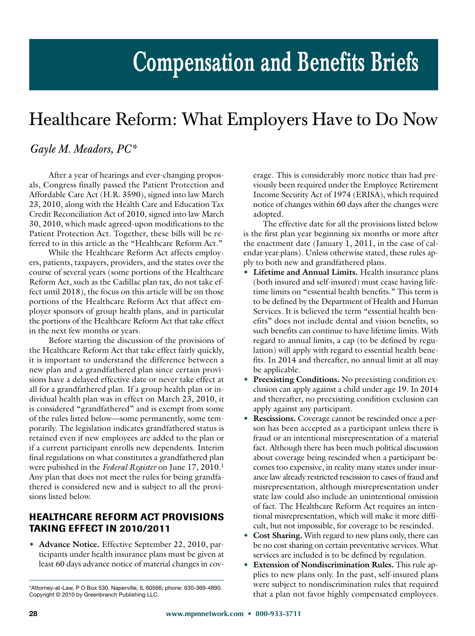# **Compensation and Benefits Briefs**

## Healthcare Reform: What Employers Have to Do Now

### *Gayle M. Meadors, PC\**

After a year of hearings and ever-changing proposals, Congress finally passed the Patient Protection and Affordable Care Act (H.R. 3590), signed into law March 23, 2010, along with the Health Care and Education Tax Credit Reconciliation Act of 2010, signed into law March 30, 2010, which made agreed-upon modifications to the Patient Protection Act. Together, these bills will be referred to in this article as the "Healthcare Reform Act."

While the Healthcare Reform Act affects employers, patients, taxpayers, providers, and the states over the course of several years (some portions of the Healthcare Reform Act, such as the Cadillac plan tax, do not take effect until 2018), the focus on this article will be on those portions of the Healthcare Reform Act that affect employer sponsors of group health plans, and in particular the portions of the Healthcare Reform Act that take effect in the next few months or years.

Before starting the discussion of the provisions of the Healthcare Reform Act that take effect fairly quickly, it is important to understand the difference between a new plan and a grandfathered plan since certain provisions have a delayed effective date or never take effect at all for a grandfathered plan. If a group health plan or individual health plan was in effect on March 23, 2010, it is considered "grandfathered" and is exempt from some of the rules listed below—some permanently, some temporarily. The legislation indicates grandfathered status is retained even if new employees are added to the plan or if a current participant enrolls new dependents. Interim final regulations on what constitutes a grandfathered plan were pubished in the *Federal Register* on June 17, 2010.1 Any plan that does not meet the rules for being grandfathered is considered new and is subject to all the provisions listed below.

#### **HEALTHCARE REFORM ACT PROVISIONS TAKING EFFECT IN 2010/2011**

• **Advance Notice.** Effective September 22, 2010, participants under health insurance plans must be given at least 60 days advance notice of material changes in coverage. This is considerably more notice than had previously been required under the Employee Retirement Income Security Act of 1974 (ERISA), which required notice of changes within 60 days after the changes were adopted.

The effective date for all the provisions listed below is the first plan year beginning six months or more after the enactment date (January 1, 2011, in the case of calendar year plans). Unless otherwise stated, these rules apply to both new and grandfathered plans.

- **Lifetime and Annual Limits.** Health insurance plans (both insured and self-insured) must cease having lifetime limits on "essential health benefits." This term is to be defined by the Department of Health and Human Services. It is believed the term "essential health benefits" does not include dental and vision benefits, so such benefits can continue to have lifetime limits. With regard to annual limits, a cap (to be defined by regulation) will apply with regard to essential health benefits. In 2014 and thereafter, no annual limit at all may be applicable.
- **Preexisting Conditions.** No preexisting condition exclusion can apply against a child under age 19. In 2014 and thereafter, no preexisting condition exclusion can apply against any participant.
- **Rescissions.** Coverage cannot be rescinded once a person has been accepted as a participant unless there is fraud or an intentional misrepresentation of a material fact. Although there has been much political discussion about coverage being rescinded when a participant becomes too expensive, in reality many states under insurance law already restricted rescission to cases of fraud and misrepresentation, although misrepresentation under state law could also include an unintentional omission of fact. The Healthcare Reform Act requires an intentional misrepresentation, which will make it more difficult, but not impossible, for coverage to be rescinded.
- **Cost Sharing.** With regard to new plans only, there can be no cost sharing on certain preventative services. What services are included is to be defined by regulation.
- **Extension of Nondiscrimination Rules.** This rule applies to new plans only. In the past, self-insured plans were subject to nondiscrimination rules that required Attorney-at-Law, P O Box 530, Naperville, IL 60566; phone: 630-369-4890. Were subject to nondiscrimination rules that required copyright © 2010 by Greenbranch Publishing LLC. That is plan not favor highly compensated emplo

Copyright © 2010 by Greenbranch Publishing LLC.